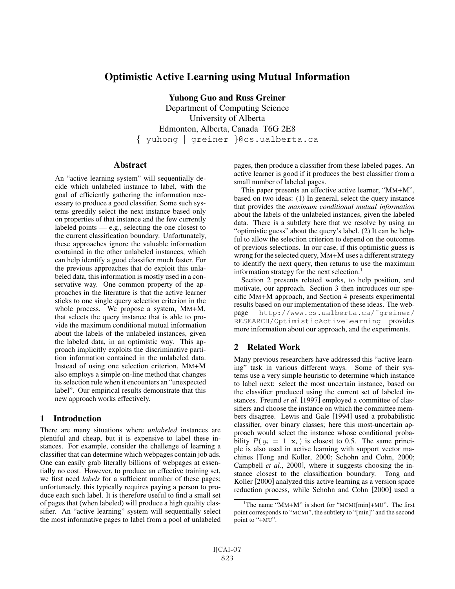# Optimistic Active Learning using Mutual Information

Yuhong Guo and Russ Greiner

Department of Computing Science University of Alberta Edmonton, Alberta, Canada T6G 2E8 { yuhong | greiner }@cs.ualberta.ca

### **Abstract**

An "active learning system" will sequentially decide which unlabeled instance to label, with the goal of efficiently gathering the information necessary to produce a good classifier. Some such systems greedily select the next instance based only on properties of that instance and the few currently labeled points  $-$  e.g., selecting the one closest to the current classification boundary. Unfortunately, these approaches ignore the valuable information contained in the other unlabeled instances, which can help identify a good classifier much faster. For the previous approaches that do exploit this unlabeled data, this information is mostly used in a conservative way. One common property of the approaches in the literature is that the active learner sticks to one single query selection criterion in the whole process. We propose a system, MM+M, that selects the query instance that is able to provide the maximum conditional mutual information about the labels of the unlabeled instances, given the labeled data, in an optimistic way. This approach implicitly exploits the discriminative partition information contained in the unlabeled data. Instead of using one selection criterion, MM+M also employs a simple on-line method that changes its selection rule when it encounters an "unexpected label". Our empirical results demonstrate that this new approach works effectively.

## 1 Introduction

There are many situations where *unlabeled* instances are plentiful and cheap, but it is expensive to label these instances. For example, consider the challenge of learning a classifier that can determine which webpages contain job ads. One can easily grab literally billions of webpages at essentially no cost. However, to produce an effective training set, we first need *labels* for a sufficient number of these pages; unfortunately, this typically requires paying a person to produce each such label. It is therefore useful to find a small set of pages that (when labeled) will produce a high quality classifier. An "active learning" system will sequentially select the most informative pages to label from a pool of unlabeled pages, then produce a classifier from these labeled pages. An active learner is good if it produces the best classifier from a small number of labeled pages.

This paper presents an effective active learner, "MM+M", based on two ideas: (1) In general, select the query instance that provides the *maximum conditional mutual information* about the labels of the unlabeled instances, given the labeled data. There is a subtlety here that we resolve by using an "optimistic guess" about the query's label. (2) It can be helpful to allow the selection criterion to depend on the outcomes of previous selections. In our case, if this optimistic guess is wrong for the selected query, MM+M uses a different strategy to identify the next query, then returns to use the maximum information strategy for the next selection.<sup>1</sup>

Section 2 presents related works, to help position, and motivate, our approach. Section 3 then introduces our specific MM+M approach, and Section 4 presents experimental results based on our implementation of these ideas. The webpage http://www.cs.ualberta.ca/˜greiner/ RESEARCH/OptimisticActiveLearning provides more information about our approach, and the experiments.

## 2 Related Work

Many previous researchers have addressed this "active learning" task in various different ways. Some of their systems use a very simple heuristic to determine which instance to label next: select the most uncertain instance, based on the classifier produced using the current set of labeled instances. Freund *et al.* [1997] employed a committee of classifiers and choose the instance on which the committee members disagree. Lewis and Gale [1994] used a probabilistic classifier, over binary classes; here this most-uncertain approach would select the instance whose conditional probability  $P(y_i = 1 | \mathbf{x}_i)$  is closest to 0.5. The same principle is also used in active learning with support vector machines [Tong and Koller, 2000; Schohn and Cohn, 2000; Campbell *et al.*, 2000], where it suggests choosing the instance closest to the classification boundary. Tong and Koller [2000] analyzed this active learning as a version space reduction process, while Schohn and Cohn [2000] used a

<sup>&</sup>lt;sup>1</sup>The name "MM+M" is short for "MCMI[min]+MU". The first point corresponds to "MCMI", the subtlety to "[min]" and the second point to "+MU".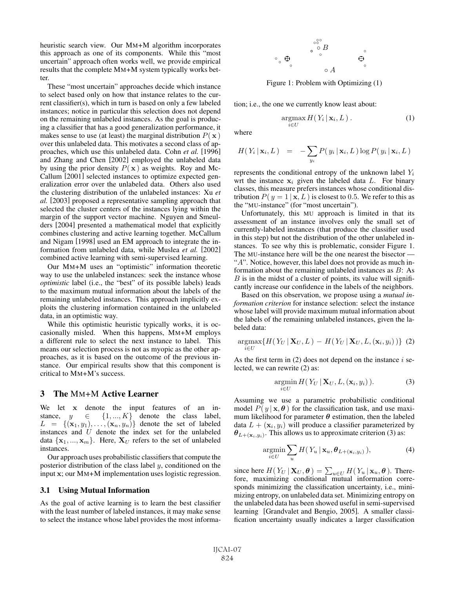heuristic search view. Our MM+M algorithm incorporates this approach as one of its components. While this "most uncertain" approach often works well, we provide empirical results that the complete MM+M system typically works better.

These "most uncertain" approaches decide which instance to select based only on how that instance relates to the current classifier(s), which in turn is based on only a few labeled instances; notice in particular this selection does not depend on the remaining unlabeled instances. As the goal is producing a classifier that has a good generalization performance, it makes sense to use (at least) the marginal distribution  $P(\mathbf{x})$ over this unlabeled data. This motivates a second class of approaches, which use this unlabeled data. Cohn *et al.* [1996] and Zhang and Chen [2002] employed the unlabeled data by using the prior density  $P(x)$  as weights. Roy and Mc-Callum [2001] selected instances to optimize expected generalization error over the unlabeled data. Others also used the clustering distribution of the unlabeled instances: Xu *et al.* [2003] proposed a representative sampling approach that selected the cluster centers of the instances lying within the margin of the support vector machine. Nguyen and Smeulders [2004] presented a mathematical model that explicitly combines clustering and active learning together. McCallum and Nigam [1998] used an EM approach to integrate the information from unlabeled data, while Muslea *et al.* [2002] combined active learning with semi-supervised learning.

Our MM+M uses an "optimistic" information theoretic way to use the unlabeled instances: seek the instance whose *optimistic* label (i.e., the "best" of its possible labels) leads to the maximum mutual information about the labels of the remaining unlabeled instances. This approach implicitly exploits the clustering information contained in the unlabeled data, in an optimistic way.

While this optimistic heuristic typically works, it is occasionally misled. When this happens, MM+M employs a different rule to select the next instance to label. This means our selection process is not as myopic as the other approaches, as it is based on the outcome of the previous instance. Our empirical results show that this component is critical to MM+M's success.

## 3 The MM+M Active Learner

We let **x** denote the input features of an instance,  $y \in \{1, ..., K\}$  denote the class label,<br>  $L = \{(x_1, y_1), ..., (x_n, y_n)\}$  denote the set of labeled  $L = \{ (\mathbf{x}_1, y_1), \ldots, (\mathbf{x}_n, y_n) \}$  denote the set of labeled instances and *U* denote the index set for the unlabeled instances and U denote the index set for the unlabeled data  $\{x_1, ..., x_m\}$ . Here,  $X_U$  refers to the set of unlabeled instances.

Our approach uses probabilistic classifiers that compute the posterior distribution of the class label  $y$ , conditioned on the input **x**; our MM+M implementation uses logistic regression.

#### 3.1 Using Mutual Information

As the goal of active learning is to learn the best classifier with the least number of labeled instances, it may make sense to select the instance whose label provides the most informa-



Figure 1: Problem with Optimizing (1)

tion; i.e., the one we currently know least about:

$$
\underset{i\in U}{\operatorname{argmax}} H(Y_i \,|\, \mathbf{x}_i, L) \,. \tag{1}
$$

where

$$
H(Y_i | \mathbf{x}_i, L) = -\sum_{y_i} P(y_i | \mathbf{x}_i, L) \log P(y_i | \mathbf{x}_i, L)
$$

represents the conditional entropy of the unknown label  $Y_i$ wrt the instance  $x_i$  given the labeled data  $L$ . For binary classes, this measure prefers instances whose conditional distribution  $P(y = 1 | \mathbf{x}, L)$  is closest to 0.5. We refer to this as the "MU-instance" (for "most uncertain").

Unfortunately, this MU approach is limited in that its assessment of an instance involves only the small set of currently-labeled instances (that produce the classifier used in this step) but not the distribution of the other unlabeled instances. To see why this is problematic, consider Figure 1. The MU-instance here will be the one nearest the bisector — "A". Notice, however, this label does not provide as much information about the remaining unlabeled instances as B: As  $B$  is in the midst of a cluster of points, its value will significantly increase our confidence in the labels of the neighbors.

Based on this observation, we propose using a *mutual information criterion* for instance selection: select the instance whose label will provide maximum mutual information about the labels of the remaining unlabeled instances, given the labeled data:

$$
\underset{i\in U}{\operatorname{argmax}}\{H(Y_U\,|\,\mathbf{X}_U,L)-H(Y_U\,|\,\mathbf{X}_U,L,(\mathbf{x}_i,y_i))\}\tag{2}
$$

As the first term in  $(2)$  does not depend on the instance i selected, we can rewrite (2) as:

$$
\underset{i\in U}{\operatorname{argmin}}\,H(Y_U\,|\,\mathbf{X}_U,L,(\mathbf{x}_i,y_i)\,).
$$
 (3)

Assuming we use a parametric probabilistic conditional model  $P(y | \mathbf{x}, \theta)$  for the classification task, and use maximum likelihood for parameter  $\theta$  estimation, then the labeled data  $L + (\mathbf{x}_i, y_i)$  will produce a classifier parameterized by  $\theta_{L+(x_i,y_i)}$ . This allows us to approximate criterion (3) as:

$$
\underset{i\in U}{\operatorname{argmin}} \sum_{u} H(Y_u \,|\, \mathbf{x}_u, \boldsymbol{\theta}_{L+(\mathbf{x}_i, y_i)}\,), \tag{4}
$$

since here  $H(Y_U | \mathbf{X}_U, \boldsymbol{\theta}) = \sum_{u \in U} H(Y_u | \mathbf{x}_u, \boldsymbol{\theta})$ . There-<br>fore, maximizing conditional mutual information corresponds minimizing the classification uncertainty, i.e., minimizing entropy, on unlabeled data set. Minimizing entropy on the unlabeled data has been showed useful in semi-supervised learning [Grandvalet and Bengio, 2005]. A smaller classification uncertainty usually indicates a larger classification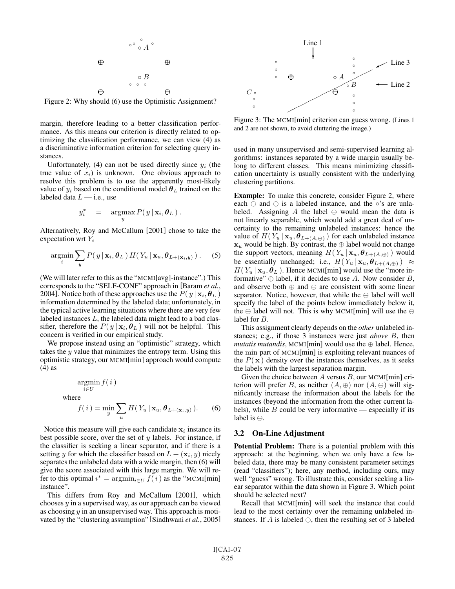

Figure 2: Why should (6) use the Optimistic Assignment?

margin, therefore leading to a better classification performance. As this means our criterion is directly related to optimizing the classification performance, we can view (4) as a discriminative information criterion for selecting query instances.

Unfortunately, (4) can not be used directly since  $y_i$  (the true value of  $x_i$ ) is unknown. One obvious approach to resolve this problem is to use the apparently most-likely value of  $y_i$  based on the conditional model  $\theta_L$  trained on the labeled data  $L$  — i.e., use

$$
y_i^* = \argmax_{y} P(y | \mathbf{x}_i, \boldsymbol{\theta}_L).
$$

Alternatively, Roy and McCallum [2001] chose to take the expectation wrt  $Y_i$ 

$$
\underset{i}{\text{argmin}} \sum_{y} P(y \mid \mathbf{x}_i, \boldsymbol{\theta}_L) H(Y_u \mid \mathbf{x}_u, \boldsymbol{\theta}_{L+(\mathbf{x}_i, y)}) \,. \tag{5}
$$

(We will later refer to this as the "MCMI[avg]-instance".) This corresponds to the "SELF-CONF" approach in [Baram *et al.*, 2004]. Notice both of these approaches use the  $P(y | x_i, \theta_L)$ information determined by the labeled data; unfortunately, in the typical active learning situations where there are very few labeled instances L, the labeled data might lead to a bad classifier, therefore the  $P(y | \mathbf{x}_i, \boldsymbol{\theta}_L)$  will not be helpful. This concern is verified in our empirical study.

We propose instead using an "optimistic" strategy, which takes the  $y$  value that minimizes the entropy term. Using this optimistic strategy, our MCMI[min] approach would compute (4) as

wh

$$
\underset{i \in U}{\operatorname{argmin}} f(i)
$$
\nhere

\n
$$
f(i) = \underset{y}{\min} \sum_{u} H(Y_u | \mathbf{x}_u, \boldsymbol{\theta}_{L+(\mathbf{x}_i, y)}).
$$
\n(6)

Notice this measure will give each candidate  $x_i$  instance its best possible score, over the set of  $y$  labels. For instance, if the classifier is seeking a linear separator, and if there is a setting y for which the classifier based on  $L + (\mathbf{x}_i, y)$  nicely separates the unlabeled data with a wide margin, then (6) will give the score associated with this large margin. We will refer to this optimal  $i^* = \operatorname{argmin}_{i \in U} f(i)$  as the "MCMI[min] instance" instance".

 $\overline{u}$ 

This differs from Roy and McCallum [2001], which chooses  $y$  in a supervised way, as our approach can be viewed as choosing  $y$  in an unsupervised way. This approach is motivated by the "clustering assumption" [Sindhwani *et al.*, 2005]



Figure 3: The MCMI[min] criterion can guess wrong. (Lines 1 and 2 are not shown, to avoid cluttering the image.)

used in many unsupervised and semi-supervised learning algorithms: instances separated by a wide margin usually belong to different classes. This means minimizing classification uncertainty is usually consistent with the underlying clustering partitions.

Example: To make this concrete, consider Figure 2, where each  $\ominus$  and  $\oplus$  is a labeled instance, and the ∘'s are unlabeled. Assigning A the label  $\ominus$  would mean the data is not linearly separable, which would add a great deal of uncertainty to the remaining unlabeled instances; hence the value of  $H(Y_u | \mathbf{x}_u, \boldsymbol{\theta}_{L+(A,\ominus)})$  for each unlabeled instance  $\mathbf{x}_u$  would be high. By contrast, the  $\oplus$  label would not change the support vectors, meaning  $H(Y_u | \mathbf{x}_u, \boldsymbol{\theta}_{L+(A,\oplus)})$  would be essentially unchanged; i.e.,  $H(Y_u | \mathbf{x}_u, \boldsymbol{\theta}_{L+(A,\oplus)}) \approx$  $H(Y_u | \mathbf{x}_u, \boldsymbol{\theta}_L)$ . Hence MCMI[min] would use the "more informative"  $\oplus$  label, if it decides to use A. Now consider B, and observe both  $\oplus$  and  $\ominus$  are consistent with some linear separator. Notice, however, that while the  $\ominus$  label will well specify the label of the points below immediately below it, the  $\oplus$  label will not. This is why MCMI[min] will use the  $\ominus$ label for B.

This assignment clearly depends on the *other* unlabeled instances; e.g., if those 3 instances were just *above* B, then  $mutatis$  mutandis, MCMI[min] would use the  $\oplus$  label. Hence, the min part of MCMI[min] is exploiting relevant nuances of the  $P(x)$  density over the instances themselves, as it seeks the labels with the largest separation margin.

Given the choice between  $A$  versus  $B$ , our MCMI[min] criterion will prefer B, as neither  $(A, \oplus)$  nor  $(A, \ominus)$  will significantly increase the information about the labels for the instances (beyond the information from the other current labels), while  $B$  could be very informative — especially if its label is  $\ominus$ .

#### 3.2 On-Line Adjustment

Potential Problem: There is a potential problem with this approach: at the beginning, when we only have a few labeled data, there may be many consistent parameter settings (read "classifiers"); here, any method, including ours, may well "guess" wrong. To illustrate this, consider seeking a linear separator within the data shown in Figure 3. Which point should be selected next?

Recall that MCMI[min] will seek the instance that could lead to the most certainty over the remaining unlabeled instances. If A is labeled  $\ominus$ , then the resulting set of 3 labeled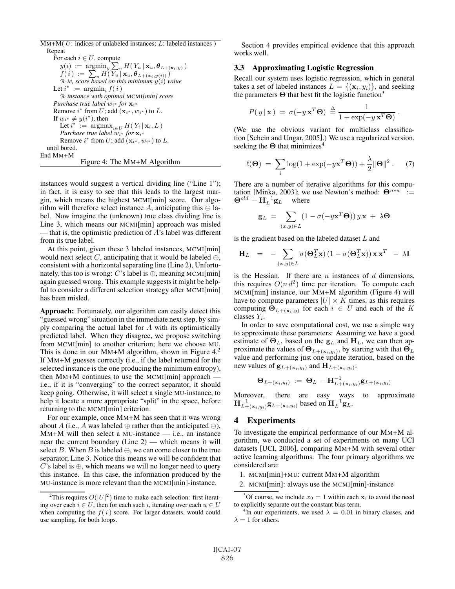$\overline{M}M+M(U:$  indices of unlabeled instances; L: labeled instances) Repeat For each  $i \in U$ , compute  $y(i) := \operatorname{argmin}_{y} \sum_{u} H(Y_u | \mathbf{x}_u, \boldsymbol{\theta}_{L+(x_i,y)})$ <br> $f(i) := \sum_{u} H(Y | \mathbf{x}_u, \boldsymbol{\theta}_{L+(x_i,y)})$  $f(i) := \sum_{u} H(\overline{Y_u}^u | \mathbf{x}_u, \boldsymbol{\theta}_{L+(\mathbf{x}_i,y(i))})$ <br>  $\%$  ie, score hased on this minimum  $y(i)$  y *% ie, score based on this minimum*  $y(i)$  *value*  $f(i^*)$ Let  $i^* := \operatorname{argmin}_i f(i)$ <br>% instance with optima *% instance with optimal* MCMI*[min] score Purchase true label*  $w_i$ <sup>\*</sup> *for*  $\mathbf{x}_i$ <sup>\*</sup> Remove  $i^*$  from U; add  $(\mathbf{x}_{i^*}, w_{i^*})$  to L.<br>If  $w_{i^*} \neq u(i^*)$  then If  $w_{i^*} \neq y(i^*)$ , then<br>Let  $i^* := \text{argmax}$ Let  $i^* := \operatorname{argmax}_{i \in U} H(Y_i | \mathbf{x}_i, L)$ <br>*Purchase true label w<sub>it</sub> for*  $\mathbf{x}_{i^*}$ *Purchase true label*  $w_{i*}$  *for*  $\mathbf{x}_{i*}$ Remove  $i^*$  from  $U$ ; add  $(\mathbf{x}_{i^*}, w_{i^*})$  to  $L$ . until bored. End MM+M Figure 4: The MM+M Algorithm

instances would suggest a vertical dividing line ("Line 1"); in fact, it is easy to see that this leads to the largest margin, which means the highest MCMI[min] score. Our algorithm will therefore select instance A, anticipating this  $\ominus$  label. Now imagine the (unknown) true class dividing line is Line 3, which means our MCMI[min] approach was misled — that is, the optimistic prediction of  $A$ 's label was different from its true label.

At this point, given these 3 labeled instances, MCMI[min] would next select C, anticipating that it would be labeled  $\ominus$ , consistent with a horizontal separating line (Line 2), Unfortunately, this too is wrong:  $C$ 's label is  $\oplus$ , meaning MCMI[min] again guessed wrong. This example suggests it might be helpful to consider a different selection strategy after MCMI[min] has been misled.

Approach: Fortunately, our algorithm can easily detect this "guessed wrong" situation in the immediate next step, by simply comparing the actual label for A with its optimistically predicted label. When they disagree, we propose switching from MCMI[min] to another criterion; here we choose MU. This is done in our MM+M algorithm, shown in Figure  $4<sup>2</sup>$ . If MM+M guesses correctly (i.e., if the label returned for the selected instance is the one producing the minimum entropy), then  $MM+M$  continues to use the MCMI $[\text{min}]$  approach i.e., if it is "converging" to the correct separator, it should keep going. Otherwise, it will select a single MU-instance, to help it locate a more appropriate "split" in the space, before returning to the MCMI[min] criterion.

For our example, once MM+M has seen that it was wrong about A (i.e., A was labeled  $\oplus$  rather than the anticipated  $\ominus$ ),  $MM+M$  will then select a MU-instance — i.e., an instance near the current boundary (Line 2) — which means it will select B. When B is labeled  $\ominus$ , we can come closer to the true separator, Line 3. Notice this means we will be confident that C's label is  $\oplus$ , which means we will no longer need to query this instance. In this case, the information produced by the MU-instance is more relevant than the MCMI[min]-instance.

Section 4 provides empirical evidence that this approach works well.

### 3.3 Approximating Logistic Regression

Recall our system uses logistic regression, which in general takes a set of labeled instances  $L = \{(\mathbf{x}_i, y_i)\}\$ , and seeking the parameters **Θ** that best fit the logistic function<sup>3</sup>

$$
P(y \mid \mathbf{x}) = \sigma(-y \mathbf{x}^T \boldsymbol{\Theta}) \stackrel{\Delta}{=} \frac{1}{1 + \exp(-y \mathbf{x}^T \boldsymbol{\Theta})}.
$$

(We use the obvious variant for multiclass classification [Schein and Ungar, 2005].) We use a regularized version, seeking the **Θ** that minimizes<sup>4</sup>

$$
\ell(\mathbf{\Theta}) = \sum_{i} \log(1 + \exp(-y\mathbf{x}^{T}\mathbf{\Theta})) + \frac{\lambda}{2} ||\mathbf{\Theta}||^{2}.
$$
 (7)

There are a number of iterative algorithms for this computation [Minka, 2003]; we use Newton's method: Θ<sup>new</sup> :=  $\mathbf{\Theta}^{old} - \mathbf{H}_{L}^{-1} \mathbf{g}_{L}$  where

$$
\mathbf{g}_L = \sum_{(x,y)\in L} (1 - \sigma(-y\mathbf{x}^T\mathbf{\Theta})) y \mathbf{x} + \lambda \mathbf{\Theta}
$$

is the gradient based on the labeled dataset L and

$$
\mathbf{H}_{L} = -\sum_{(\mathbf{x}, y) \in L} \sigma(\mathbf{\Theta}_{L}^{T} \mathbf{x}) \left(1 - \sigma(\mathbf{\Theta}_{L}^{T} \mathbf{x})\right) \mathbf{x} \mathbf{x}^{T} - \lambda \mathbf{I}
$$

is the Hessian. If there are  $n$  instances of  $d$  dimensions, this requires  $O(n d^2)$  time per iteration. To compute each MCMI[min] instance, our MM+M algorithm (Figure 4) will have to compute parameters  $|U| \times K$  times, as this requires computing  $\Theta_{L+(\mathbf{x}_i,y)}$  for each  $i \in U$  and each of the K classes  $Y_i$ .

In order to save computational cost, we use a simple way to approximate these parameters: Assuming we have a good estimate of  $\Theta_L$ , based on the  $\mathbf{g}_L$  and  $\mathbf{H}_L$ , we can then approximate the values of **<sup>Θ</sup>**<sup>L</sup>+(**x**i,yi), by starting with that **<sup>Θ</sup>**<sup>L</sup> value and performing just one update iteration, based on the new values of  $\mathbf{g}_{L+(\mathbf{x}_i,y_i)}$  and  $\mathbf{H}_{L+(\mathbf{x}_i,y_i)}$ :

$$
\Theta_{L+(\mathbf{x}_i,y_i)} := \Theta_L - \mathbf{H}_{L+(\mathbf{x}_i,y_i)}^{-1} \mathbf{g}_{L+(\mathbf{x}_i,y_i)}
$$

Moreover, there are easy ways to approximate  $\mathbf{H}_{L+\left(\mathbf{x}_i,y_i\right)}^{-1}\mathbf{g}_{L+\left(\mathbf{x}_i,y_i\right)}$  based on  $\mathbf{H}_{L}^{-1}\mathbf{g}_{L}$ .

## 4 Experiments

To investigate the empirical performance of our MM+M algorithm, we conducted a set of experiments on many UCI datasets [UCI, 2006], comparing MM+M with several other active learning algorithms. The four primary algorithms we considered are:

- 1. MCMI[min]+MU: current MM+M algorithm
- 2. MCMI[min]: always use the MCMI[min]-instance

<sup>&</sup>lt;sup>2</sup>This requires  $O(|U|^2)$  time to make each selection: first iterat-<br>over each  $i \in U$  then for each such i iterating over each  $u \in U$ ing over each  $i \in U$ , then for each such i, iterating over each  $u \in U$ when computing the  $f(i)$  score. For larger datasets, would could use sampling, for both loops.

<sup>&</sup>lt;sup>3</sup>Of course, we include  $x_0 = 1$  within each  $\mathbf{x}_i$  to avoid the need explicitly separate out the constant bias term to explicitly separate out the constant bias term.

<sup>&</sup>lt;sup>4</sup>In our experiments, we used  $\lambda = 0.01$  in binary classes, and  $= 1$  for others  $\lambda = 1$  for others.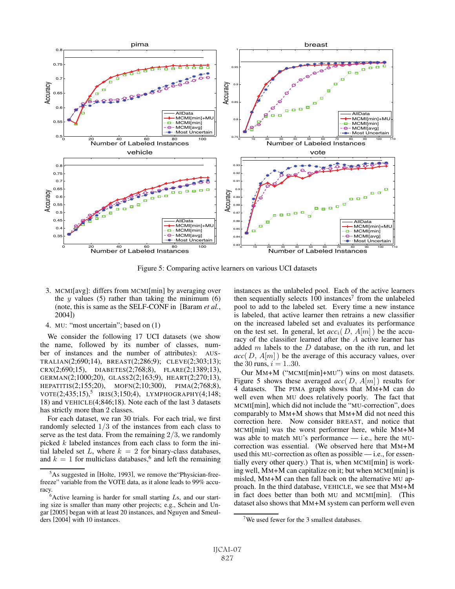

Figure 5: Comparing active learners on various UCI datasets

- 3. MCMI[avg]: differs from MCMI[min] by averaging over the  $y$  values (5) rather than taking the minimum (6) (note, this is same as the SELF-CONF in [Baram *et al.*, 2004])
- 4. MU: "most uncertain"; based on (1)

We consider the following 17 UCI datasets (we show the name, followed by its number of classes, number of instances and the number of attributes): AUS-TRALIAN(2;690;14), BREAST(2;286;9); CLEVE(2;303;13); CRX(2;690;15), DIABETES(2;768;8), FLARE(2;1389;13), GERMAN(2;1000;20), GLASS2(2;163;9), HEART(2;270;13), HEPATITIS(2;155;20), MOFN(2;10;300), PIMA(2;768;8),  $VOTE(2;435;15),$ <sup>5</sup> IRIS(3;150;4), LYMPHOGRAPHY(4;148; 18) and VEHICLE(4;846;18). Note each of the last 3 datasets has strictly more than 2 classes.

For each dataset, we ran 30 trials. For each trial, we first randomly selected 1/3 of the instances from each class to serve as the test data. From the remaining  $2/3$ , we randomly picked k labeled instances from each class to form the initial labeled set L, where  $k = 2$  for binary-class databases,<br>and  $k = 1$  for multiclass databases  $^6$  and left the remaining and  $k = 1$  for multiclass databases,<sup>6</sup> and left the remaining instances as the unlabeled pool. Each of the active learners then sequentially selects  $100$  instances<sup>7</sup> from the unlabeled pool to add to the labeled set. Every time a new instance is labeled, that active learner then retrains a new classifier on the increased labeled set and evaluates its performance on the test set. In general, let  $acc_i(D, A[m])$  be the accuracy of the classifier learned after the A active learner has added  $m$  labels to the  $D$  database, on the *i*th run, and let  $acc(D, A[m])$  be the average of this accuracy values, over the 30 runs,  $i = 1..30$ .

Our MM+M ("MCMI[min]+MU") wins on most datasets. Figure 5 shows these averaged *acc*( D, A[m] ) results for 4 datasets. The PIMA graph shows that MM+M can do well even when MU does relatively poorly. The fact that MCMI[min], which did not include the "MU-correction", does comparably to MM+M shows that MM+M did not need this correction here. Now consider BREAST, and notice that MCMI[min] was the worst performer here, while MM+M was able to match MU's performance — i.e., here the MUcorrection was essential. (We observed here that MM+M used this MU-correction as often as possible — i.e., for essentially every other query.) That is, when MCMI[min] is working well, MM+M can capitalize on it; but when MCMI[min] is misled, MM+M can then fall back on the alternative MU approach. In the third database, VEHICLE, we see that MM+M in fact does better than both MU and MCMI[min]. (This dataset also shows that MM+M system can perform well even

<sup>&</sup>lt;sup>5</sup>As suggested in [Holte, 1993], we remove the 'Physician-freefreeze" variable from the VOTE data, as it alone leads to 99% accuracy.

 $6$ Active learning is harder for small starting Ls, and our starting size is smaller than many other projects; e.g., Schein and Ungar [2005] began with at least 20 instances, and Nguyen and Smeulders [2004] with 10 instances.

<sup>&</sup>lt;sup>7</sup>We used fewer for the 3 smallest databases.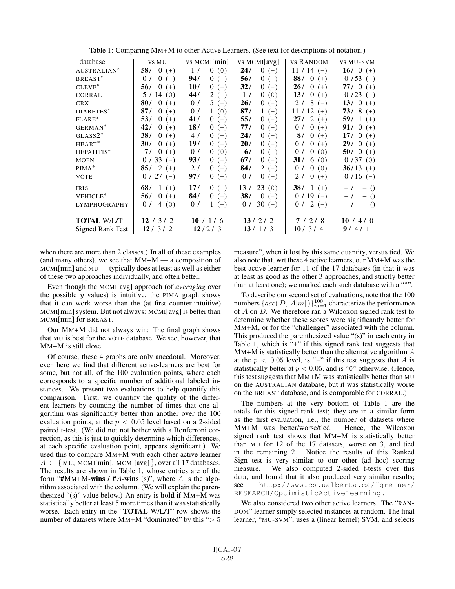| database                | <b>VS MU</b>                   | vs MCMI[min]                   | vs MCMI[avg]                   | vs Random      | <b>VS MU-SVM</b>    |
|-------------------------|--------------------------------|--------------------------------|--------------------------------|----------------|---------------------|
| AUSTRALIAN*             | 58/<br>$0 (+)$                 | 1/<br>0(0)                     | 24/<br>$\overline{0}$<br>$(+)$ | $11/14$ (-)    | $16/0 (+)$          |
| BREAST*                 | $0(-)$<br>0/                   | 94/<br>$\overline{0}$<br>$(+)$ | 56/<br>$0 (+)$                 | 88/<br>$0 (+)$ | $0/53(-)$           |
| $CLEVE$ <sup>*</sup>    | 56/<br>$\theta$<br>$(+)$       | 10/<br>$0 (+)$                 | 32/<br>$0 (+)$                 | 26/<br>$0 (+)$ | 77/0<br>$(+)$       |
| CORRAL                  | 5/14(0)                        | 44 /<br>$2(+)$                 | 1/<br>0(0)                     | 13/<br>$0 (+)$ | $0/23(-)$           |
| <b>CRX</b>              | 80/<br>$\overline{0}$<br>$(+)$ | 0/<br>$5(-)$                   | 26/<br>$0 (+)$                 | $8(-)$<br>2l   | 13/ 0 $(+)$         |
| DIABETES*               | 87/<br>$\overline{0}$<br>$(+)$ | 1(0)<br>0/                     | 87/<br>$1(+)$                  | $11/12$ (+)    | $73/8 (+)$          |
| $FLARE*$                | 53/<br>$\overline{0}$<br>$(+)$ | 41 /<br>$0 (+)$                | 55 /<br>$0 (+)$                | $27/2 (+)$     | 59/ 1 $(+)$         |
| GERMAN <sup>*</sup>     | 42/<br>$0 (+)$                 | 18/<br>$0 (+)$                 | 77/<br>$0 (+)$                 | $0 (+)$<br>0/  | <b>91</b> / 0 $(+)$ |
| $GLASS2^*$              | 38/<br>$\overline{0}$<br>$(+)$ | 4/<br>$0 (+)$                  | 24 /<br>$0 (+)$                | 8/<br>$0 (+)$  | 17/ 0 $(+)$         |
| $HEART^*$               | 30/<br>$\bf{0}$<br>$(+)$       | 19/<br>$\overline{0}$<br>$(+)$ | 20/<br>$0 (+)$                 | $0 (+)$<br>0/  | $29/0 (+)$          |
| HEPATITIS*              | $\overline{0}$<br>7/<br>$(+)$  | 0/<br>0(0)                     | 6/<br>$0 (+)$                  | 0(0)<br>0/     | 50/ 0 $(+)$         |
| <b>MOFN</b>             | $33(-)$<br>0/                  | 93/<br>$0 (+)$                 | 67/<br>$0 (+)$                 | 31/<br>6(0)    | 0/37(0)             |
| $PIMA^*$                | $2 (+)$<br>85/                 | 2l<br>$0 (+)$                  | 84/<br>$2 (+)$                 | 0(0)<br>0/     | $36/13 (+)$         |
| <b>VOTE</b>             | $0/27(-)$                      | 97 /<br>0<br>$(+)$             | 0/<br>$0(-)$                   | $0 (+)$<br>2l  | $0/16$ (-)          |
| <b>IRIS</b>             | 68/<br>$\mathbf{1}$<br>$(+)$   | 17/<br>$0 (+)$                 | 23(0)<br>13/                   | $38/1 (+)$     | $-1$<br>$-$ ()      |
| VEHICLE*                | 56/<br>$\Omega$<br>$(+)$       | 84/<br>$\Omega$<br>$(+)$       | 38/<br>$\overline{0}$<br>$(+)$ | $0/19(-)$      | $-1$<br>$-$ ()      |
| <b>LYMPHOGRAPHY</b>     | $\overline{4}$<br>0/<br>(0)    | 0/<br>$1(-)$                   | $30 (-)$<br>0/                 | $0/2(-)$       | $-$ ()<br>$-1$      |
|                         |                                |                                |                                |                |                     |
| <b>TOTAL W/L/T</b>      | 12/3/2                         | 10 / 1/6                       | 13/2/2                         | 7/2/8          | 10 / 4 / 0          |
| <b>Signed Rank Test</b> | 12/3/2                         | 12/2/3                         | 13/1/3                         | 10/3/4         | 9/4/1               |

Table 1: Comparing MM+M to other Active Learners. (See text for descriptions of notation.)

when there are more than 2 classes.) In all of these examples (and many others), we see that  $MM+M \rightarrow a$  composition of MCMI[min] and MU — typically does at least as well as either of these two approaches individually, and often better.

Even though the MCMI[avg] approach (of *averaging* over the possible  $y$  values) is intuitive, the PIMA graph shows that it can work worse than the (at first counter-intuitive) MCMI[min] system. But not always: MCMI[avg] is better than MCMI[min] for BREAST.

Our MM+M did not always win: The final graph shows that MU is best for the VOTE database. We see, however, that MM+M is still close.

Of course, these 4 graphs are only anecdotal. Moreover, even here we find that different active-learners are best for some, but not all, of the 100 evaluation points, where each corresponds to a specific number of additional labeled instances. We present two evaluations to help quantify this comparison. First, we quantify the quality of the different learners by counting the number of times that one algorithm was significantly better than another over the 100 evaluation points, at the  $p < 0.05$  level based on a 2-sided paired t-test. (We did not not bother with a Bonferroni correction, as this is just to quickly determine which differences, at each specific evaluation point, appears significant.) We used this to compare MM+M with each other active learner  $A \in \{MU, MCMI[min], MCMI[avg]\},$  over all 17 databases. The results are shown in Table 1, whose entries are of the form "#MM+M-wins / #A-wins (s)", where A is the algorithm associated with the column. (We will explain the parenthesized "(s)" value below.) An entry is bold if MM+M was statistically better at least 5 more times than it was statistically worse. Each entry in the "TOTAL W/L/T" row shows the number of datasets where  $MM+M$  "dominated" by this " $> 5$  measure", when it lost by this same quantity, versus tied. We also note that, wrt these 4 active learners, our MM+M was the best active learner for 11 of the 17 databases (in that it was at least as good as the other 3 approaches, and strictly better than at least one); we marked each such database with a "\*".

To describe our second set of evaluations, note that the 100 numbers  $\{acc(D, A[m])\}_{m=1}^{100}$  characterize the performance<br>of A on D. We therefore ran a Wilcoxon signed rank test to of A on D. We therefore ran a Wilcoxon signed rank test to determine whether these scores were significantly better for MM+M, or for the "challenger" associated with the column. This produced the parenthesized value "(s)" in each entry in Table 1, which is "+" if this signed rank test suggests that  $MM+M$  is statistically better than the alternative algorithm  $A$ at the  $p < 0.05$  level, is "-" if this test suggests that A is statistically better at  $p < 0.05$ , and is "0" otherwise. (Hence, this test suggests that MM+M was statistically better than MU on the AUSTRALIAN database, but it was statistically worse on the BREAST database, and is comparable for CORRAL.)

The numbers at the very bottom of Table 1 are the totals for this signed rank test; they are in a similar form as the first evaluation, i.e., the number of datasets where MM+M was better/worse/tied. Hence, the Wilcoxon signed rank test shows that MM+M is statistically better than MU for 12 of the 17 datasets, worse on 3, and tied in the remaining 2. Notice the results of this Ranked Sign test is very similar to our other (ad hoc) scoring measure. We also computed 2-sided t-tests over this data, and found that it also produced very similar results; see http://www.cs.ualberta.ca/˜greiner/ RESEARCH/OptimisticActiveLearning .

We also considered two other active learners. The "RAN-DOM" learner simply selected instances at random. The final learner, "MU-SVM", uses a (linear kernel) SVM, and selects